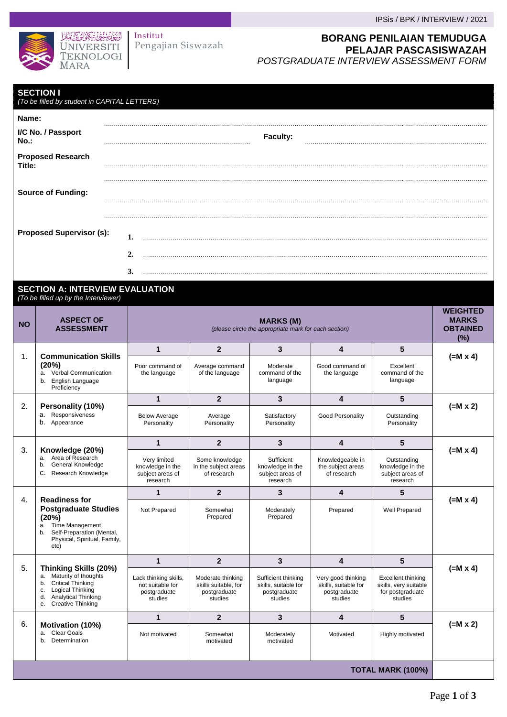

Pengajian Siswazah Institut

### IPSis / BPK / INTERVIEW / 2021

## **BORANG PENILAIAN TEMUDUGA PELAJAR PASCASISWAZAH**  *POSTGRADUATE INTERVIEW ASSESSMENT FORM*

| <b>SECTION I</b><br>(To be filled by student in CAPITAL LETTERS) |                  |          |  |
|------------------------------------------------------------------|------------------|----------|--|
| Name:                                                            |                  |          |  |
| I/C No. / Passport<br>No.:                                       |                  | Faculty: |  |
| <b>Proposed Research</b><br>Title:                               |                  |          |  |
| <b>Source of Funding:</b>                                        |                  |          |  |
|                                                                  |                  |          |  |
| <b>Proposed Supervisor (s):</b>                                  | ı.               |          |  |
|                                                                  | $\overline{2}$ . |          |  |
|                                                                  | 3.               |          |  |

#### **SECTION A: INTERVIEW EVALUATION** *(To be filled up by the Interviewer)*

| <b>NO</b>                | <b>ASPECT OF</b><br><b>ASSESSMENT</b>                                                                                                                                                 | <b>MARKS (M)</b><br>(please circle the appropriate mark for each section) |                                                                      |                                                                        |                                                                       |                                                                            | <b>WEIGHTED</b><br><b>MARKS</b><br><b>OBTAINED</b><br>(%) |
|--------------------------|---------------------------------------------------------------------------------------------------------------------------------------------------------------------------------------|---------------------------------------------------------------------------|----------------------------------------------------------------------|------------------------------------------------------------------------|-----------------------------------------------------------------------|----------------------------------------------------------------------------|-----------------------------------------------------------|
|                          | <b>Communication Skills</b><br>$\mathbf{1}$ .<br>(20%)<br>a. Verbal Communication<br>b. English Language<br>Proficiency                                                               | $\mathbf{1}$                                                              | $\overline{2}$                                                       | 3                                                                      | 4                                                                     | 5                                                                          |                                                           |
|                          |                                                                                                                                                                                       | Poor command of<br>the language                                           | Average command<br>of the language                                   | Moderate<br>command of the<br>language                                 | Good command of<br>the language                                       | Excellent<br>command of the<br>language                                    | $(=M \times 4)$                                           |
|                          |                                                                                                                                                                                       | $\mathbf{1}$                                                              | $\overline{2}$                                                       | 3                                                                      | 4                                                                     | 5                                                                          |                                                           |
| 2.                       | Personality (10%)<br>a. Responsiveness<br>b. Appearance                                                                                                                               | <b>Below Average</b><br>Personality                                       | Average<br>Personality                                               | Satisfactory<br>Personality                                            | Good Personality                                                      | Outstanding<br>Personality                                                 | $(=M x 2)$                                                |
|                          |                                                                                                                                                                                       | $\mathbf{1}$                                                              | $\overline{2}$                                                       | 3                                                                      | 4                                                                     | 5                                                                          |                                                           |
| 3.                       | Knowledge (20%)<br>Area of Research<br>a.<br>General Knowledge<br>b.<br>Research Knowledge<br>c.                                                                                      | Very limited<br>knowledge in the<br>subject areas of<br>research          | Some knowledge<br>in the subject areas<br>of research                | Sufficient<br>knowledge in the<br>subject areas of<br>research         | Knowledgeable in<br>the subject areas<br>of research                  | Outstanding<br>knowledge in the<br>subject areas of<br>research            | $(=M \times 4)$                                           |
|                          |                                                                                                                                                                                       | 1                                                                         | $\overline{2}$                                                       | 3                                                                      | 4                                                                     | 5                                                                          |                                                           |
| 4.                       | <b>Readiness for</b><br><b>Postgraduate Studies</b><br>(20%)<br>Time Management<br>a.<br>Self-Preparation (Mental,<br>b.<br>Physical, Spiritual, Family,<br>etc)                      | Not Prepared                                                              | Somewhat<br>Prepared                                                 | Moderately<br>Prepared                                                 | Prepared                                                              | Well Prepared                                                              | $(=M \times 4)$                                           |
|                          |                                                                                                                                                                                       | $\mathbf{1}$                                                              | $\overline{2}$                                                       | 3                                                                      | 4                                                                     | 5                                                                          |                                                           |
| 5.                       | Thinking Skills (20%)<br>Maturity of thoughts<br>a.<br>Critical Thinking<br>b.<br><b>Logical Thinking</b><br>c.<br><b>Analytical Thinking</b><br>d.<br><b>Creative Thinking</b><br>е. | Lack thinking skills,<br>not suitable for<br>postgraduate<br>studies      | Moderate thinking<br>skills suitable, for<br>postgraduate<br>studies | Sufficient thinking<br>skills, suitable for<br>postgraduate<br>studies | Very good thinking<br>skills, suitable for<br>postgraduate<br>studies | Excellent thinking<br>skills, very suitable<br>for postgraduate<br>studies | $(=M \times 4)$                                           |
|                          |                                                                                                                                                                                       | 1                                                                         | $\overline{2}$                                                       | 3                                                                      | 4                                                                     | 5                                                                          |                                                           |
| 6.                       | Motivation (10%)<br>a. Clear Goals<br>Determination<br>b.                                                                                                                             | Not motivated                                                             | Somewhat<br>motivated                                                | Moderately<br>motivated                                                | Motivated                                                             | Highly motivated                                                           | $(=M \times 2)$                                           |
| <b>TOTAL MARK (100%)</b> |                                                                                                                                                                                       |                                                                           |                                                                      |                                                                        |                                                                       |                                                                            |                                                           |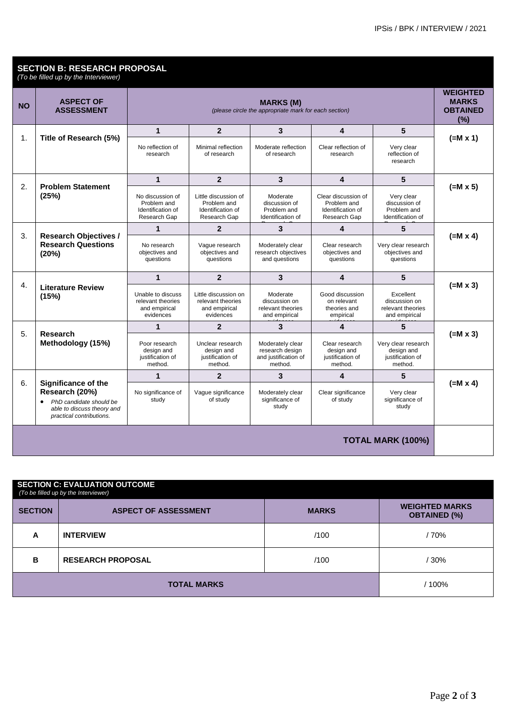### **SECTION B: RESEARCH PROPOSAL**

*(To be filled up by the Interviewer)*

| <b>NO</b>                | <b>ASPECT OF</b><br><b>ASSESSMENT</b>                                                                                                   | <b>MARKS (M)</b><br>(please circle the appropriate mark for each section) |                                                                          |                                                                        |                                                                         | <b>WEIGHTED</b><br><b>MARKS</b><br><b>OBTAINED</b><br>(%)        |                 |
|--------------------------|-----------------------------------------------------------------------------------------------------------------------------------------|---------------------------------------------------------------------------|--------------------------------------------------------------------------|------------------------------------------------------------------------|-------------------------------------------------------------------------|------------------------------------------------------------------|-----------------|
|                          | Title of Research (5%)                                                                                                                  | 1                                                                         | $\overline{2}$                                                           | 3                                                                      | 4                                                                       | 5                                                                |                 |
| 1.                       |                                                                                                                                         | No reflection of<br>research                                              | Minimal reflection<br>of research                                        | Moderate reflection<br>of research                                     | Clear reflection of<br>research                                         | Very clear<br>reflection of<br>research                          | $(=M \times 1)$ |
|                          |                                                                                                                                         | $\mathbf{1}$                                                              | $\overline{2}$                                                           | 3                                                                      | $\overline{\mathbf{4}}$                                                 | 5                                                                |                 |
| 2.                       | <b>Problem Statement</b><br>(25%)                                                                                                       | No discussion of<br>Problem and<br>Identification of<br>Research Gap      | Little discussion of<br>Problem and<br>Identification of<br>Research Gap | Moderate<br>discussion of<br>Problem and<br>Identification of          | Clear discussion of<br>Problem and<br>Identification of<br>Research Gap | Very clear<br>discussion of<br>Problem and<br>Identification of  | $(=M \times 5)$ |
|                          |                                                                                                                                         | $\mathbf 1$                                                               | $\overline{2}$                                                           | 3                                                                      | 4                                                                       | 5                                                                |                 |
| 3.                       | <b>Research Objectives /</b><br><b>Research Questions</b><br>(20%)                                                                      | No research<br>objectives and<br>questions                                | Vague research<br>objectives and<br>questions                            | Moderately clear<br>research objectives<br>and questions               | Clear research<br>objectives and<br>questions                           | Very clear research<br>objectives and<br>questions               | $(=M \times 4)$ |
|                          | 4.<br><b>Literature Review</b><br>(15%)                                                                                                 | 1                                                                         | $\overline{2}$                                                           | 3                                                                      | 4                                                                       | 5                                                                |                 |
|                          |                                                                                                                                         | Unable to discuss<br>relevant theories<br>and empirical<br>evidences      | Little discussion on<br>relevant theories<br>and empirical<br>evidences  | Moderate<br>discussion on<br>relevant theories<br>and empirical        | Good discussion<br>on relevant<br>theories and<br>empirical             | Excellent<br>discussion on<br>relevant theories<br>and empirical | $(=M \times 3)$ |
|                          |                                                                                                                                         | $\mathbf 1$                                                               | $\overline{2}$                                                           | 3                                                                      | 4                                                                       | 5                                                                |                 |
| 5.                       | Research<br>Methodology (15%)                                                                                                           | Poor research<br>design and<br>justification of<br>method.                | Unclear research<br>design and<br>justification of<br>method.            | Moderately clear<br>research design<br>and justification of<br>method. | Clear research<br>design and<br>justification of<br>method.             | Very clear research<br>design and<br>justification of<br>method. | $(=M \times 3)$ |
|                          |                                                                                                                                         | $\mathbf 1$                                                               | $\overline{2}$                                                           | 3                                                                      | 4                                                                       | 5                                                                |                 |
| 6.                       | Significance of the<br>Research (20%)<br>PhD candidate should be<br>$\bullet$<br>able to discuss theory and<br>practical contributions. | No significance of<br>study                                               | Vaque significance<br>of study                                           | Moderately clear<br>significance of<br>study                           | Clear significance<br>of study                                          | Very clear<br>significance of<br>study                           | $(=M \times 4)$ |
| <b>TOTAL MARK (100%)</b> |                                                                                                                                         |                                                                           |                                                                          |                                                                        |                                                                         |                                                                  |                 |

| <b>SECTION C: EVALUATION OUTCOME</b><br>(To be filled up by the Interviewer) |                             |              |                                              |  |  |
|------------------------------------------------------------------------------|-----------------------------|--------------|----------------------------------------------|--|--|
| <b>SECTION</b>                                                               | <b>ASPECT OF ASSESSMENT</b> | <b>MARKS</b> | <b>WEIGHTED MARKS</b><br><b>OBTAINED (%)</b> |  |  |
| A                                                                            | <b>INTERVIEW</b>            | /100         | / 70%                                        |  |  |
| в                                                                            | <b>RESEARCH PROPOSAL</b>    | /100         | $/30\%$                                      |  |  |
|                                                                              | <b>TOTAL MARKS</b>          | / 100%       |                                              |  |  |